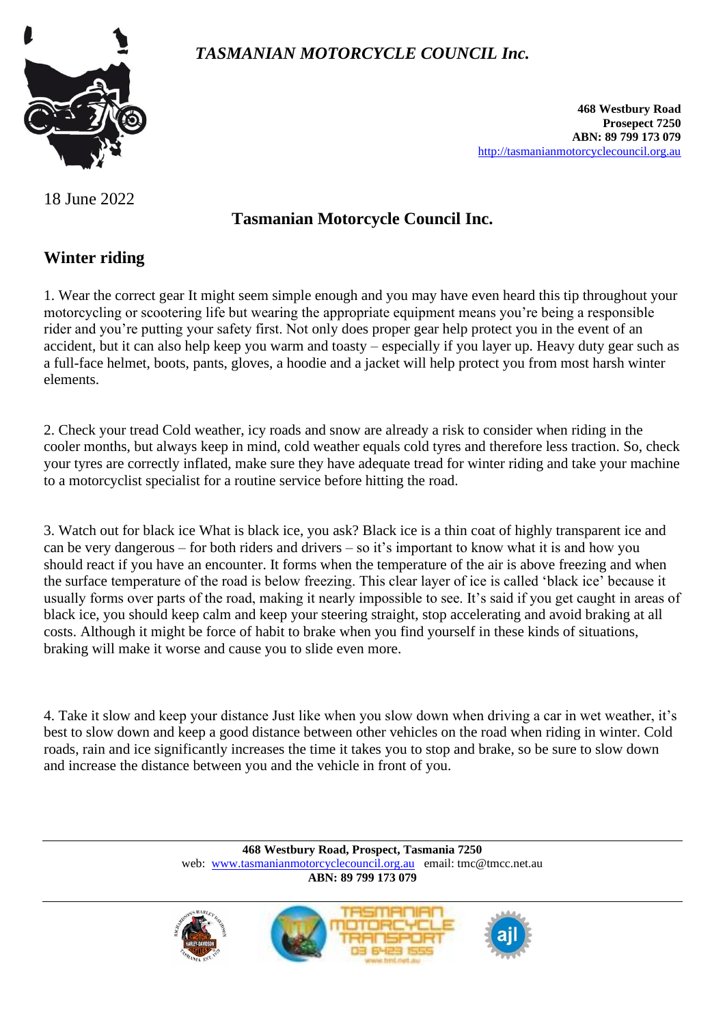



**468 Westbury Road Prosepect 7250 ABN: 89 799 173 079** [http://tasmanianmotorcyclecouncil.org.au](http://tasmanianmotorcyclecouncil.org.au/)

#### 18 June 2022

## **Tasmanian Motorcycle Council Inc.**

### **Winter riding**

1. Wear the correct gear It might seem simple enough and you may have even heard this tip throughout your motorcycling or scootering life but wearing the appropriate equipment means you're being a responsible rider and you're putting your safety first. Not only does proper gear help protect you in the event of an accident, but it can also help keep you warm and toasty – especially if you layer up. Heavy duty gear such as a full-face helmet, boots, pants, gloves, a hoodie and a jacket will help protect you from most harsh winter elements.

2. Check your tread Cold weather, icy roads and snow are already a risk to consider when riding in the cooler months, but always keep in mind, cold weather equals cold tyres and therefore less traction. So, check your tyres are correctly inflated, make sure they have adequate tread for winter riding and take your machine to a motorcyclist specialist for a routine service before hitting the road.

3. Watch out for black ice What is black ice, you ask? Black ice is a thin coat of highly transparent ice and can be very dangerous – for both riders and drivers – so it's important to know what it is and how you should react if you have an encounter. It forms when the temperature of the air is above freezing and when the surface temperature of the road is below freezing. This clear layer of ice is called 'black ice' because it usually forms over parts of the road, making it nearly impossible to see. It's said if you get caught in areas of black ice, you should keep calm and keep your steering straight, stop accelerating and avoid braking at all costs. Although it might be force of habit to brake when you find yourself in these kinds of situations, braking will make it worse and cause you to slide even more.

4. Take it slow and keep your distance Just like when you slow down when driving a car in wet weather, it's best to slow down and keep a good distance between other vehicles on the road when riding in winter. Cold roads, rain and ice significantly increases the time it takes you to stop and brake, so be sure to slow down and increase the distance between you and the vehicle in front of you.

> **468 Westbury Road, Prospect, Tasmania 7250** web: [www.tasmanianmotorcyclecouncil.org.au](http://www.tasmanianmotorcyclecouncil.org.au/) email: tmc@tmcc.net.au **ABN: 89 799 173 079**